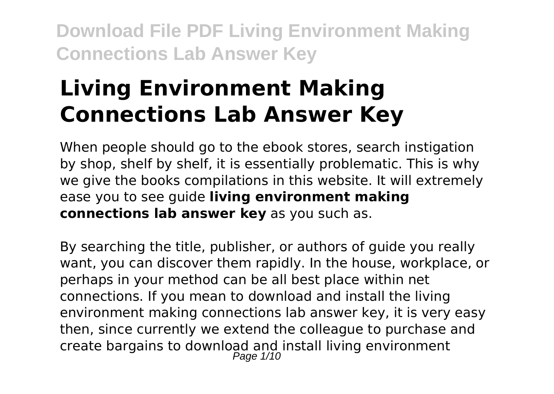# **Living Environment Making Connections Lab Answer Key**

When people should go to the ebook stores, search instigation by shop, shelf by shelf, it is essentially problematic. This is why we give the books compilations in this website. It will extremely ease you to see guide **living environment making connections lab answer key** as you such as.

By searching the title, publisher, or authors of guide you really want, you can discover them rapidly. In the house, workplace, or perhaps in your method can be all best place within net connections. If you mean to download and install the living environment making connections lab answer key, it is very easy then, since currently we extend the colleague to purchase and create bargains to download and install living environment Page  $1/10$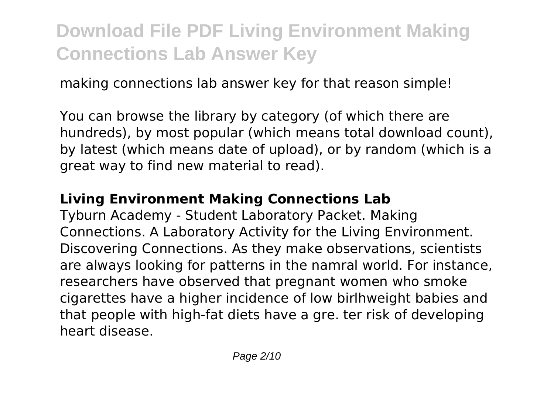making connections lab answer key for that reason simple!

You can browse the library by category (of which there are hundreds), by most popular (which means total download count), by latest (which means date of upload), or by random (which is a great way to find new material to read).

### **Living Environment Making Connections Lab**

Tyburn Academy - Student Laboratory Packet. Making Connections. A Laboratory Activity for the Living Environment. Discovering Connections. As they make observations, scientists are always looking for patterns in the namral world. For instance, researchers have observed that pregnant women who smoke cigarettes have a higher incidence of low birlhweight babies and that people with high-fat diets have a gre. ter risk of developing heart disease.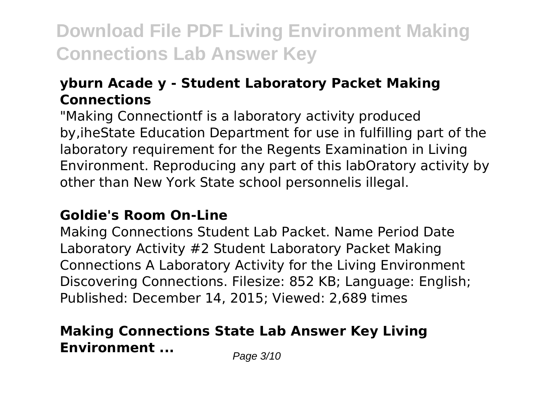### **yburn Acade y - Student Laboratory Packet Making Connections**

"Making Connectiontf is a laboratory activity produced by,iheState Education Department for use in fulfilling part of the laboratory requirement for the Regents Examination in Living Environment. Reproducing any part of this labOratory activity by other than New York State school personnelis illegal.

#### **Goldie's Room On-Line**

Making Connections Student Lab Packet. Name Period Date Laboratory Activity #2 Student Laboratory Packet Making Connections A Laboratory Activity for the Living Environment Discovering Connections. Filesize: 852 KB; Language: English; Published: December 14, 2015; Viewed: 2,689 times

### **Making Connections State Lab Answer Key Living Environment ...** Page 3/10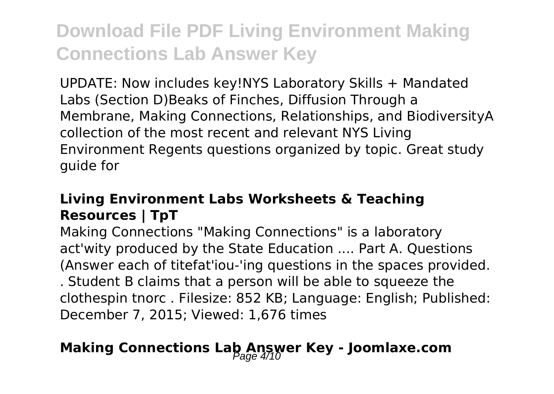UPDATE: Now includes key!NYS Laboratory Skills + Mandated Labs (Section D)Beaks of Finches, Diffusion Through a Membrane, Making Connections, Relationships, and BiodiversityA collection of the most recent and relevant NYS Living Environment Regents questions organized by topic. Great study guide for

### **Living Environment Labs Worksheets & Teaching Resources | TpT**

Making Connections "Making Connections" is a laboratory act'wity produced by the State Education .... Part A. Questions (Answer each of titefat'iou-'ing questions in the spaces provided. . Student B claims that a person will be able to squeeze the clothespin tnorc . Filesize: 852 KB; Language: English; Published: December 7, 2015; Viewed: 1,676 times

### **Making Connections Lab Answer Key - Joomlaxe.com**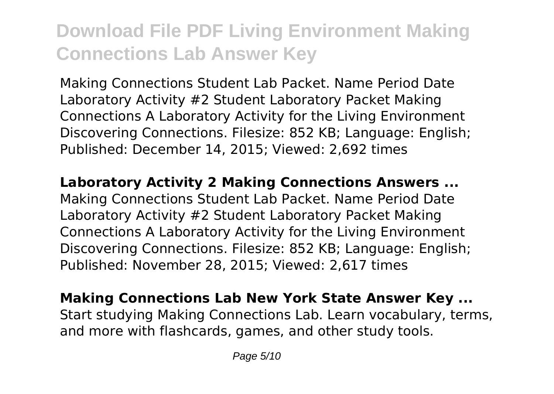Making Connections Student Lab Packet. Name Period Date Laboratory Activity #2 Student Laboratory Packet Making Connections A Laboratory Activity for the Living Environment Discovering Connections. Filesize: 852 KB; Language: English; Published: December 14, 2015; Viewed: 2,692 times

**Laboratory Activity 2 Making Connections Answers ...** Making Connections Student Lab Packet. Name Period Date Laboratory Activity #2 Student Laboratory Packet Making Connections A Laboratory Activity for the Living Environment Discovering Connections. Filesize: 852 KB; Language: English; Published: November 28, 2015; Viewed: 2,617 times

**Making Connections Lab New York State Answer Key ...** Start studying Making Connections Lab. Learn vocabulary, terms, and more with flashcards, games, and other study tools.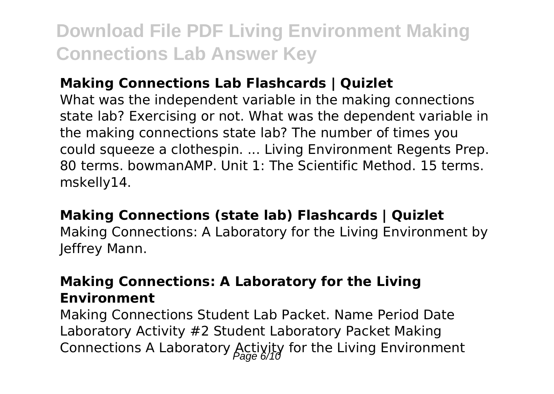### **Making Connections Lab Flashcards | Quizlet**

What was the independent variable in the making connections state lab? Exercising or not. What was the dependent variable in the making connections state lab? The number of times you could squeeze a clothespin. ... Living Environment Regents Prep. 80 terms. bowmanAMP. Unit 1: The Scientific Method. 15 terms. mskelly14.

### **Making Connections (state lab) Flashcards | Quizlet**

Making Connections: A Laboratory for the Living Environment by Jeffrey Mann.

#### **Making Connections: A Laboratory for the Living Environment**

Making Connections Student Lab Packet. Name Period Date Laboratory Activity #2 Student Laboratory Packet Making Connections A Laboratory  $\text{Activity}$  for the Living Environment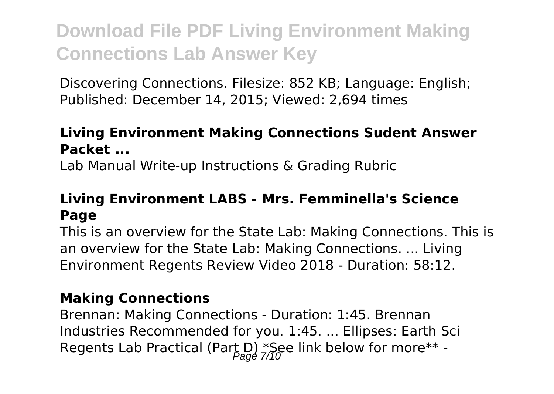Discovering Connections. Filesize: 852 KB; Language: English; Published: December 14, 2015; Viewed: 2,694 times

### **Living Environment Making Connections Sudent Answer Packet ...**

Lab Manual Write-up Instructions & Grading Rubric

### **Living Environment LABS - Mrs. Femminella's Science Page**

This is an overview for the State Lab: Making Connections. This is an overview for the State Lab: Making Connections. ... Living Environment Regents Review Video 2018 - Duration: 58:12.

#### **Making Connections**

Brennan: Making Connections - Duration: 1:45. Brennan Industries Recommended for you. 1:45. ... Ellipses: Earth Sci Regents Lab Practical (Part D) \*See link below for more\*\* -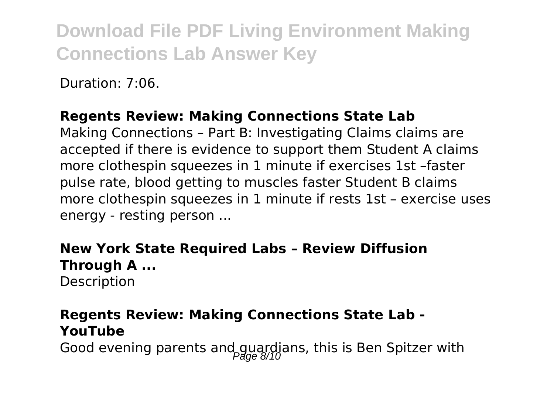Duration: 7:06.

### **Regents Review: Making Connections State Lab**

Making Connections – Part B: Investigating Claims claims are accepted if there is evidence to support them Student A claims more clothespin squeezes in 1 minute if exercises 1st –faster pulse rate, blood getting to muscles faster Student B claims more clothespin squeezes in 1 minute if rests 1st – exercise uses energy - resting person ...

### **New York State Required Labs – Review Diffusion Through A ...**

Description

### **Regents Review: Making Connections State Lab - YouTube**

Good evening parents and guardians, this is Ben Spitzer with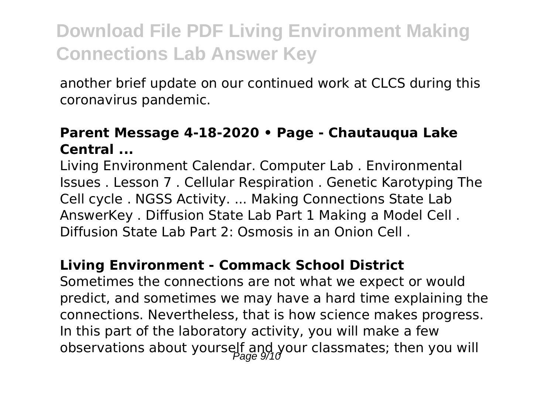another brief update on our continued work at CLCS during this coronavirus pandemic.

#### **Parent Message 4-18-2020 • Page - Chautauqua Lake Central ...**

Living Environment Calendar. Computer Lab . Environmental Issues . Lesson 7 . Cellular Respiration . Genetic Karotyping The Cell cycle . NGSS Activity. ... Making Connections State Lab AnswerKey . Diffusion State Lab Part 1 Making a Model Cell . Diffusion State Lab Part 2: Osmosis in an Onion Cell .

#### **Living Environment - Commack School District**

Sometimes the connections are not what we expect or would predict, and sometimes we may have a hard time explaining the connections. Nevertheless, that is how science makes progress. In this part of the laboratory activity, you will make a few observations about yourself and your classmates; then you will